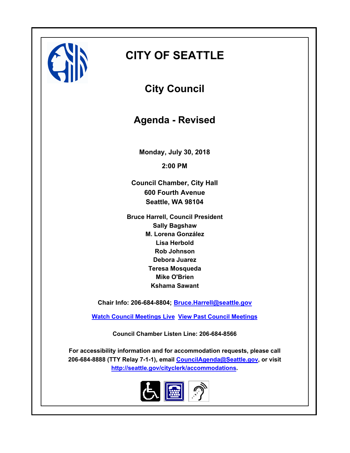

# **CITY OF SEATTLE**

**City Council**

**Agenda - Revised**

**Monday, July 30, 2018 2:00 PM**

**Council Chamber, City Hall 600 Fourth Avenue Seattle, WA 98104**

**Bruce Harrell, Council President Sally Bagshaw M. Lorena González Lisa Herbold Rob Johnson Debora Juarez Teresa Mosqueda Mike O'Brien Kshama Sawant**

**Chair Info: 206-684-8804; [Bruce.Harrell@seattle.gov](mailto:Bruce.Harrell@seattle.gov)**

**[Watch Council Meetings Live](http://www.seattle.gov/council/councillive.htm) [View Past Council Meetings](http://www.seattlechannel.org/videos/browseVideos.asp?topic=council)**

**Council Chamber Listen Line: 206-684-8566**

**For accessibility information and for accommodation requests, please call 206-684-8888 (TTY Relay 7-1-1), email [CouncilAgenda@Seattle.gov](mailto: Council.Agenda@Seattle.gov), or visit <http://seattle.gov/cityclerk/accommodations>.**

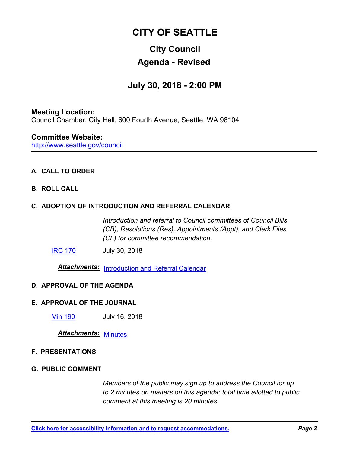# **CITY OF SEATTLE**

# **City Council Agenda - Revised**

# **July 30, 2018 - 2:00 PM**

## **Meeting Location:** Council Chamber, City Hall, 600 Fourth Avenue, Seattle, WA 98104

http://www.seattle.gov/council **Committee Website:**

# **A. CALL TO ORDER**

# **B. ROLL CALL**

# **C. ADOPTION OF INTRODUCTION AND REFERRAL CALENDAR**

*Introduction and referral to Council committees of Council Bills (CB), Resolutions (Res), Appointments (Appt), and Clerk Files (CF) for committee recommendation.*

**[IRC 170](http://seattle.legistar.com/gateway.aspx?m=l&id=/matter.aspx?key=7385)** July 30, 2018

*Attachments:* [Introduction and Referral Calendar](http://seattle.legistar.com/gateway.aspx?M=F&ID=adf20c9d-ef31-47cb-8cd0-6b40855db65f.pdf)

## **D. APPROVAL OF THE AGENDA**

## **E. APPROVAL OF THE JOURNAL**

[Min 190](http://seattle.legistar.com/gateway.aspx?m=l&id=/matter.aspx?key=7374) July 16, 2018

# *Attachments:* [Minutes](http://seattle.legistar.com/gateway.aspx?M=F&ID=a87df2f7-1d00-4c07-88c7-301ffd36896a.pdf)

#### **F. PRESENTATIONS**

#### **G. PUBLIC COMMENT**

*Members of the public may sign up to address the Council for up to 2 minutes on matters on this agenda; total time allotted to public comment at this meeting is 20 minutes.*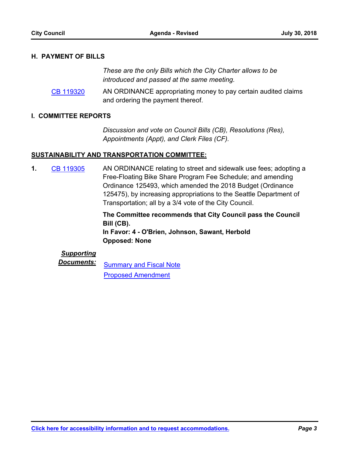#### **H. PAYMENT OF BILLS**

*These are the only Bills which the City Charter allows to be introduced and passed at the same meeting.*

AN ORDINANCE appropriating money to pay certain audited claims and ordering the payment thereof. [CB 119320](http://seattle.legistar.com/gateway.aspx?m=l&id=/matter.aspx?key=7362)

#### **I. COMMITTEE REPORTS**

*Discussion and vote on Council Bills (CB), Resolutions (Res), Appointments (Appt), and Clerk Files (CF).*

#### **SUSTAINABILITY AND TRANSPORTATION COMMITTEE:**

AN ORDINANCE relating to street and sidewalk use fees; adopting a Free-Floating Bike Share Program Fee Schedule; and amending Ordinance 125493, which amended the 2018 Budget (Ordinance 125475), by increasing appropriations to the Seattle Department of Transportation; all by a 3/4 vote of the City Council. **1.** [CB 119305](http://seattle.legistar.com/gateway.aspx?m=l&id=/matter.aspx?key=7180)

> **The Committee recommends that City Council pass the Council Bill (CB). In Favor: 4 - O'Brien, Johnson, Sawant, Herbold Opposed: None**

### *Supporting*

**Documents:** [Summary and Fiscal Note](http://seattle.legistar.com/gateway.aspx?M=F&ID=8cbfa096-cf60-45bf-92af-578e3f48095b.docx) [Proposed Amendment](http://seattle.legistar.com/gateway.aspx?M=F&ID=80a30012-521d-42bf-90ed-a2ede3defee6.pdf)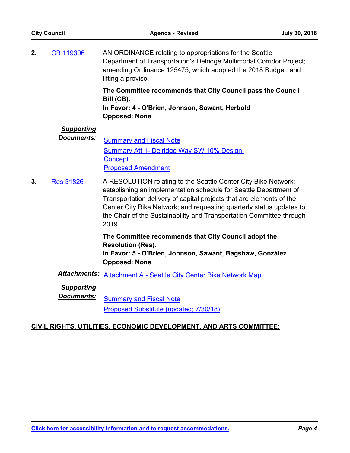AN ORDINANCE relating to appropriations for the Seattle Department of Transportation's Delridge Multimodal Corridor Project; amending Ordinance 125475, which adopted the 2018 Budget; and lifting a proviso. **2.** [CB 119306](http://seattle.legistar.com/gateway.aspx?m=l&id=/matter.aspx?key=7216)

> **The Committee recommends that City Council pass the Council Bill (CB).**

**In Favor: 4 - O'Brien, Johnson, Sawant, Herbold Opposed: None**

# *Supporting*

**Documents:** [Summary and Fiscal Note](http://seattle.legistar.com/gateway.aspx?M=F&ID=517ae51c-5881-42f9-a1b1-eba8090c647e.docx) [Summary Att 1- Delridge Way SW 10% Design](http://seattle.legistar.com/gateway.aspx?M=F&ID=1b892328-d4ad-40c1-a51f-84498c9badd4.pdf)  **Concept** [Proposed Amendment](http://seattle.legistar.com/gateway.aspx?M=F&ID=a626aef5-d649-4903-af6c-a31996ea049c.pdf)

A RESOLUTION relating to the Seattle Center City Bike Network; establishing an implementation schedule for Seattle Department of Transportation delivery of capital projects that are elements of the Center City Bike Network; and requesting quarterly status updates to the Chair of the Sustainability and Transportation Committee through 2019. **3.** [Res 31826](http://seattle.legistar.com/gateway.aspx?m=l&id=/matter.aspx?key=7315)

> **The Committee recommends that City Council adopt the Resolution (Res).**

**In Favor: 5 - O'Brien, Johnson, Sawant, Bagshaw, González Opposed: None**

*Attachments:* [Attachment A - Seattle City Center Bike Network Map](http://seattle.legistar.com/gateway.aspx?M=F&ID=12dc5650-5e77-4bc7-b7a3-b36aec02326a.pdf)

*Supporting*

**Documents:** [Summary and Fiscal Note](http://seattle.legistar.com/gateway.aspx?M=F&ID=98909384-a857-4a33-a563-650350c02abd.docx) [Proposed Substitute \(updated; 7/30/18\)](http://seattle.legistar.com/gateway.aspx?M=F&ID=428fa288-adfc-4abe-aea5-b06757a83b75.pdf)

## **CIVIL RIGHTS, UTILITIES, ECONOMIC DEVELOPMENT, AND ARTS COMMITTEE:**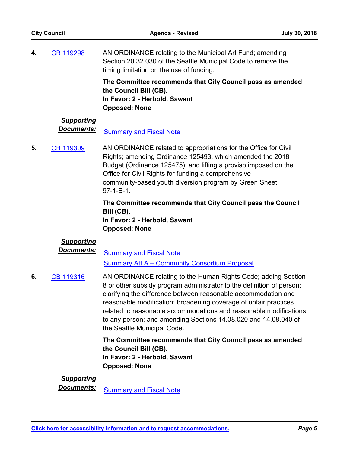AN ORDINANCE relating to the Municipal Art Fund; amending Section 20.32.030 of the Seattle Municipal Code to remove the timing limitation on the use of funding. **4.** [CB 119298](http://seattle.legistar.com/gateway.aspx?m=l&id=/matter.aspx?key=7181)

> **The Committee recommends that City Council pass as amended the Council Bill (CB). In Favor: 2 - Herbold, Sawant Opposed: None**

# *Supporting*

**Documents:** [Summary and Fiscal Note](http://seattle.legistar.com/gateway.aspx?M=F&ID=c4db3c77-9960-47c0-9921-2d907349dc9c.docx)

AN ORDINANCE related to appropriations for the Office for Civil Rights; amending Ordinance 125493, which amended the 2018 Budget (Ordinance 125475); and lifting a proviso imposed on the Office for Civil Rights for funding a comprehensive community-based youth diversion program by Green Sheet 97-1-B-1. **5.** [CB 119309](http://seattle.legistar.com/gateway.aspx?m=l&id=/matter.aspx?key=7258)

> **The Committee recommends that City Council pass the Council Bill (CB). In Favor: 2 - Herbold, Sawant**

**Opposed: None**

# *Supporting*

**Documents:** [Summary and Fiscal Note](http://seattle.legistar.com/gateway.aspx?M=F&ID=1245f178-cc82-4983-b608-9044384358b1.docx) [Summary Att A – Community Consortium Proposal](http://seattle.legistar.com/gateway.aspx?M=F&ID=f6364657-da27-4715-a731-24145752fe42.pdf)

AN ORDINANCE relating to the Human Rights Code; adding Section 8 or other subsidy program administrator to the definition of person; clarifying the difference between reasonable accommodation and reasonable modification; broadening coverage of unfair practices related to reasonable accommodations and reasonable modifications to any person; and amending Sections 14.08.020 and 14.08.040 of the Seattle Municipal Code. **6.** [CB 119316](http://seattle.legistar.com/gateway.aspx?m=l&id=/matter.aspx?key=7331)

> **The Committee recommends that City Council pass as amended the Council Bill (CB). In Favor: 2 - Herbold, Sawant Opposed: None**

# *Supporting*

**Documents:** [Summary and Fiscal Note](http://seattle.legistar.com/gateway.aspx?M=F&ID=d7c08285-959b-4162-b39b-47fbd864b8be.docx)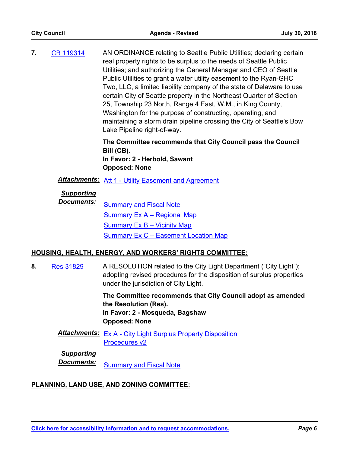AN ORDINANCE relating to Seattle Public Utilities; declaring certain real property rights to be surplus to the needs of Seattle Public Utilities; and authorizing the General Manager and CEO of Seattle Public Utilities to grant a water utility easement to the Ryan-GHC Two, LLC, a limited liability company of the state of Delaware to use certain City of Seattle property in the Northeast Quarter of Section 25, Township 23 North, Range 4 East, W.M., in King County, Washington for the purpose of constructing, operating, and maintaining a storm drain pipeline crossing the City of Seattle's Bow Lake Pipeline right-of-way. **7.** [CB 119314](http://seattle.legistar.com/gateway.aspx?m=l&id=/matter.aspx?key=7229)

> **The Committee recommends that City Council pass the Council Bill (CB). In Favor: 2 - Herbold, Sawant Opposed: None**

*Attachments:* [Att 1 - Utility Easement and Agreement](http://seattle.legistar.com/gateway.aspx?M=F&ID=cd620ba5-2a67-4926-8b90-6e3c70d7fb11.docx)

# *Supporting*

**Documents:** [Summary and Fiscal Note](http://seattle.legistar.com/gateway.aspx?M=F&ID=f4bf916e-28f3-4b20-9267-aa2a56bf80d2.docx) [Summary Ex A – Regional Map](http://seattle.legistar.com/gateway.aspx?M=F&ID=4e1bed7f-5652-4751-8742-e93492b80445.docx) [Summary Ex B – Vicinity Map](http://seattle.legistar.com/gateway.aspx?M=F&ID=57ce78de-4085-403f-92ce-2b441a0a94c6.docx) **Summary Ex C - Easement Location Map** 

#### **HOUSING, HEALTH, ENERGY, AND WORKERS' RIGHTS COMMITTEE:**

A RESOLUTION related to the City Light Department ("City Light"); adopting revised procedures for the disposition of surplus properties under the jurisdiction of City Light. **8.** [Res 31829](http://seattle.legistar.com/gateway.aspx?m=l&id=/matter.aspx?key=7328)

> **The Committee recommends that City Council adopt as amended the Resolution (Res). In Favor: 2 - Mosqueda, Bagshaw Opposed: None**

Attachments: Ex A - City Light Surplus Property Disposition Procedures v2

#### *Supporting*

**Documents:** [Summary and Fiscal Note](http://seattle.legistar.com/gateway.aspx?M=F&ID=27a4f756-cd07-4c72-a40c-a4d0ba3a48c7.docx)

## **PLANNING, LAND USE, AND ZONING COMMITTEE:**